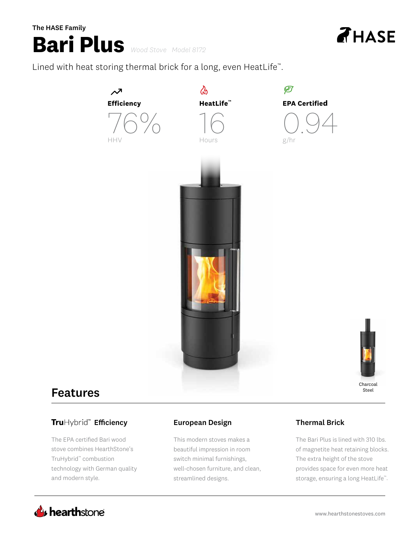# **Bari Plus** *Wood Stove Model 8172* **Bari** *Wood Stove Model 8171* The HASE Family The HASE Family



Lined with heat storing thermal brick for a long, even HeatLife™.



# Features Features

## Hybrid™ **Efficiency**

The EPA certified Bari wood The EPA certified Bari wood stove combines HearthStone's stove combines HearthStone's TruHybrid™ combustion TruHybrid™ combustion technology with German quality technology with German quality and modern style. and modern style.

### European Design Thermal Brick 225˚ Rotation Natural Convective Heat

This modern stoves makes a beautiful impression in room switch minimal furnishings, well-chosen furniture, and clean, streamlined designs.

The Bari Plus is lined with 310 lbs. of magnetite heat retaining blocks. The extra height of the stove provides space for even more heat storage, ensuring a long HeatLife™.